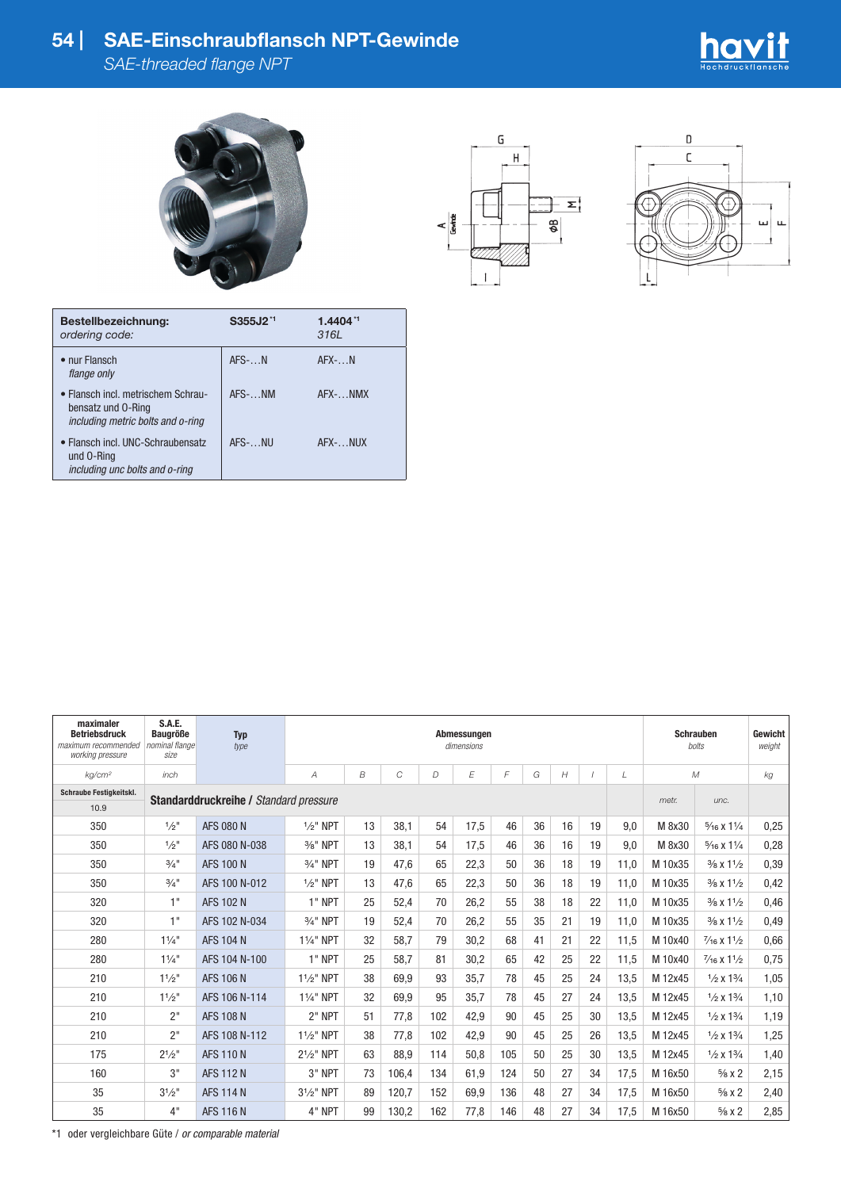## **54 | SAE-Einschraubflansch NPT-Gewinde**

*SAE-threaded flange NPT*









| Bestellbezeichnung:<br>ordering code:                                                         | S355J2 <sup>*1</sup> | $1.4404**$<br>3161 |
|-----------------------------------------------------------------------------------------------|----------------------|--------------------|
| • nur Flansch<br>flange only                                                                  | $AFS$ - $N$          | $AFX$ - $N$        |
| • Flansch incl. metrischem Schrau-<br>bensatz und 0-Ring<br>including metric bolts and o-ring | AFS- NM              | AFX- NMX           |
| • Flansch incl. UNC-Schraubensatz<br>und 0-Ring<br>including unc bolts and o-ring             | AFS- NU              | AFX- NIJX          |

| maximaler<br><b>Betriebsdruck</b><br>maximum recommended<br>working pressure | <b>S.A.E.</b><br><b>Baugröße</b><br>nominal flange<br>size | <b>Typ</b><br>type | Abmessungen<br>dimensions                                 |    |       |     |      |     |    |    |    |      | <b>Schrauben</b><br><b>bolts</b> | Gewicht<br>weight               |      |
|------------------------------------------------------------------------------|------------------------------------------------------------|--------------------|-----------------------------------------------------------|----|-------|-----|------|-----|----|----|----|------|----------------------------------|---------------------------------|------|
| kg/cm <sup>2</sup>                                                           | inch                                                       |                    | C<br>E<br>F<br>B<br>G<br>H<br>$\mathcal M$<br>D<br>A<br>L |    |       |     |      |     |    |    | kg |      |                                  |                                 |      |
| <b>Schraube Festigkeitskl.</b>                                               | Standarddruckreihe / Standard pressure                     |                    |                                                           |    |       |     |      |     |    |    |    |      | metr.                            | unc.                            |      |
| 10.9                                                                         |                                                            |                    |                                                           |    |       |     |      |     |    |    |    |      |                                  |                                 |      |
| 350                                                                          | $1/2$ "                                                    | <b>AFS 080 N</b>   | $1/2$ " NPT                                               | 13 | 38.1  | 54  | 17.5 | 46  | 36 | 16 | 19 | 9.0  | M 8x30                           | $\frac{5}{16}$ X $1\frac{1}{4}$ | 0,25 |
| 350                                                                          | $1/2$ "                                                    | AFS 080 N-038      | 3/ <sub>8</sub> " NPT                                     | 13 | 38.1  | 54  | 17.5 | 46  | 36 | 16 | 19 | 9.0  | M 8x30                           | $\frac{5}{16}$ X $1\frac{1}{4}$ | 0,28 |
| 350                                                                          | $3/4$ <sup>11</sup>                                        | <b>AFS 100 N</b>   | 3/4" NPT                                                  | 19 | 47.6  | 65  | 22,3 | 50  | 36 | 18 | 19 | 11,0 | M 10x35                          | $\frac{3}{8}$ x $\frac{11}{2}$  | 0,39 |
| 350                                                                          | $3/4$ "                                                    | AFS 100 N-012      | $1/2$ " NPT                                               | 13 | 47.6  | 65  | 22.3 | 50  | 36 | 18 | 19 | 11.0 | M 10x35                          | $\frac{3}{8}$ x $\frac{11}{2}$  | 0.42 |
| 320                                                                          | 1"                                                         | <b>AFS 102 N</b>   | 1" NPT                                                    | 25 | 52,4  | 70  | 26,2 | 55  | 38 | 18 | 22 | 11,0 | M 10x35                          | $\frac{3}{8}$ x $\frac{11}{2}$  | 0,46 |
| 320                                                                          | 1"                                                         | AFS 102 N-034      | 3/4" NPT                                                  | 19 | 52.4  | 70  | 26.2 | 55  | 35 | 21 | 19 | 11.0 | M 10x35                          | $\frac{3}{8}$ x $\frac{11}{2}$  | 0,49 |
| 280                                                                          | 11/4"                                                      | <b>AFS 104 N</b>   | 11/ <sub>4</sub> " NPT                                    | 32 | 58.7  | 79  | 30.2 | 68  | 41 | 21 | 22 | 11,5 | M 10x40                          | $\frac{7}{16}$ X $1\frac{1}{2}$ | 0,66 |
| 280                                                                          | $11/4$ "                                                   | AFS 104 N-100      | 1" NPT                                                    | 25 | 58.7  | 81  | 30,2 | 65  | 42 | 25 | 22 | 11,5 | M 10x40                          | $\frac{7}{16}$ X $1\frac{1}{2}$ | 0,75 |
| 210                                                                          | 11/2"                                                      | <b>AFS 106 N</b>   | $1\frac{1}{2}$ " NPT                                      | 38 | 69,9  | 93  | 35.7 | 78  | 45 | 25 | 24 | 13,5 | M 12x45                          | $1/2 \times 13/4$               | 1,05 |
| 210                                                                          | 11/2"                                                      | AFS 106 N-114      | 11/ <sub>4</sub> " NPT                                    | 32 | 69,9  | 95  | 35.7 | 78  | 45 | 27 | 24 | 13,5 | M 12x45                          | $1/2 \times 13/4$               | 1,10 |
| 210                                                                          | 2"                                                         | <b>AFS 108 N</b>   | 2" NPT                                                    | 51 | 77,8  | 102 | 42.9 | 90  | 45 | 25 | 30 | 13,5 | M 12x45                          | $1/2 \times 13/4$               | 1,19 |
| 210                                                                          | 2"                                                         | AFS 108 N-112      | $1\frac{1}{2}$ " NPT                                      | 38 | 77.8  | 102 | 42.9 | 90  | 45 | 25 | 26 | 13,5 | M 12x45                          | $1/2 \times 13/4$               | 1,25 |
| 175                                                                          | $2^{1/2}$ "                                                | <b>AFS 110 N</b>   | $2^{1}/2$ " NPT                                           | 63 | 88.9  | 114 | 50.8 | 105 | 50 | 25 | 30 | 13,5 | M 12x45                          | $1/2 \times 13/4$               | 1,40 |
| 160                                                                          | 3"                                                         | <b>AFS 112 N</b>   | $3"$ NPT                                                  | 73 | 106.4 | 134 | 61.9 | 124 | 50 | 27 | 34 | 17.5 | M 16x50                          | $\frac{5}{8}$ x 2               | 2,15 |
| 35                                                                           | $3^{1}/2"$                                                 | <b>AFS 114 N</b>   | $3^{1}/2$ " NPT                                           | 89 | 120,7 | 152 | 69,9 | 136 | 48 | 27 | 34 | 17,5 | M 16x50                          | $\frac{5}{8}$ X 2               | 2,40 |
| 35                                                                           | 4"                                                         | <b>AFS 116 N</b>   | 4" NPT                                                    | 99 | 130.2 | 162 | 77.8 | 146 | 48 | 27 | 34 | 17.5 | M 16x50                          | $\frac{5}{8}$ X 2               | 2,85 |

\*1 oder vergleichbare Güte / *or comparable material*